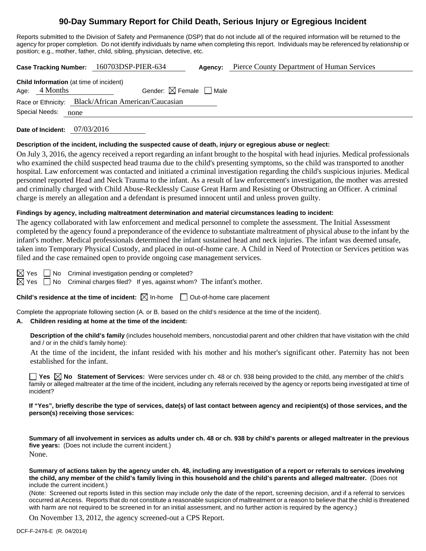# **90-Day Summary Report for Child Death, Serious Injury or Egregious Incident**

Reports submitted to the Division of Safety and Permanence (DSP) that do not include all of the required information will be returned to the agency for proper completion. Do not identify individuals by name when completing this report. Individuals may be referenced by relationship or position; e.g., mother, father, child, sibling, physician, detective, etc.

**Case Tracking Number:** 160703DSP-PIER-634 **Agency:** Pierce County Department of Human Services

| Gender: $\boxtimes$ Female $\Box$ Male<br>Age: $4$ Months<br>Race or Ethnicity: Black/African American/Caucasian<br>Special Needs:<br>none | <b>Child Information</b> (at time of incident) |  |  |  |  |  |
|--------------------------------------------------------------------------------------------------------------------------------------------|------------------------------------------------|--|--|--|--|--|
|                                                                                                                                            |                                                |  |  |  |  |  |
|                                                                                                                                            |                                                |  |  |  |  |  |
|                                                                                                                                            |                                                |  |  |  |  |  |

**Date of Incident:** 07/03/2016

### **Description of the incident, including the suspected cause of death, injury or egregious abuse or neglect:**

On July 3, 2016, the agency received a report regarding an infant brought to the hospital with head injuries. Medical professionals who examined the child suspected head trauma due to the child's presenting symptoms, so the child was transported to another hospital. Law enforcement was contacted and initiated a criminal investigation regarding the child's suspicious injuries. Medical personnel reported Head and Neck Trauma to the infant. As a result of law enforcement's investigation, the mother was arrested and criminally charged with Child Abuse-Recklessly Cause Great Harm and Resisting or Obstructing an Officer. A criminal charge is merely an allegation and a defendant is presumed innocent until and unless proven guilty.

### **Findings by agency, including maltreatment determination and material circumstances leading to incident:**

The agency collaborated with law enforcement and medical personnel to complete the assessment. The Initial Assessment completed by the agency found a preponderance of the evidence to substantiate maltreatment of physical abuse to the infant by the infant's mother. Medical professionals determined the infant sustained head and neck injuries. The infant was deemed unsafe, taken into Temporary Physical Custody, and placed in out-of-home care. A Child in Need of Protection or Services petition was filed and the case remained open to provide ongoing case management services.

 $\boxtimes$  Yes  $\Box$  No Criminal investigation pending or completed?

 $\boxtimes$  Yes  $\Box$  No Criminal charges filed? If yes, against whom? The infant's mother.

### **Child's residence at the time of incident:**  $\boxtimes$  In-home  $\Box$  Out-of-home care placement

Complete the appropriate following section (A. or B. based on the child's residence at the time of the incident).

### **A. Children residing at home at the time of the incident:**

**Description of the child's family** (includes household members, noncustodial parent and other children that have visitation with the child and / or in the child's family home):

 At the time of the incident, the infant resided with his mother and his mother's significant other. Paternity has not been established for the infant.

■ Yes **No** Statement of Services: Were services under ch. 48 or ch. 938 being provided to the child, any member of the child's family or alleged maltreater at the time of the incident, including any referrals received by the agency or reports being investigated at time of incident?

**If "Yes", briefly describe the type of services, date(s) of last contact between agency and recipient(s) of those services, and the person(s) receiving those services:** 

**Summary of all involvement in services as adults under ch. 48 or ch. 938 by child's parents or alleged maltreater in the previous five years:** (Does not include the current incident.) None.

**Summary of actions taken by the agency under ch. 48, including any investigation of a report or referrals to services involving the child, any member of the child's family living in this household and the child's parents and alleged maltreater.** (Does not include the current incident.)

(Note: Screened out reports listed in this section may include only the date of the report, screening decision, and if a referral to services occurred at Access. Reports that do not constitute a reasonable suspicion of maltreatment or a reason to believe that the child is threatened with harm are not required to be screened in for an initial assessment, and no further action is required by the agency.)

On November 13, 2012, the agency screened-out a CPS Report.